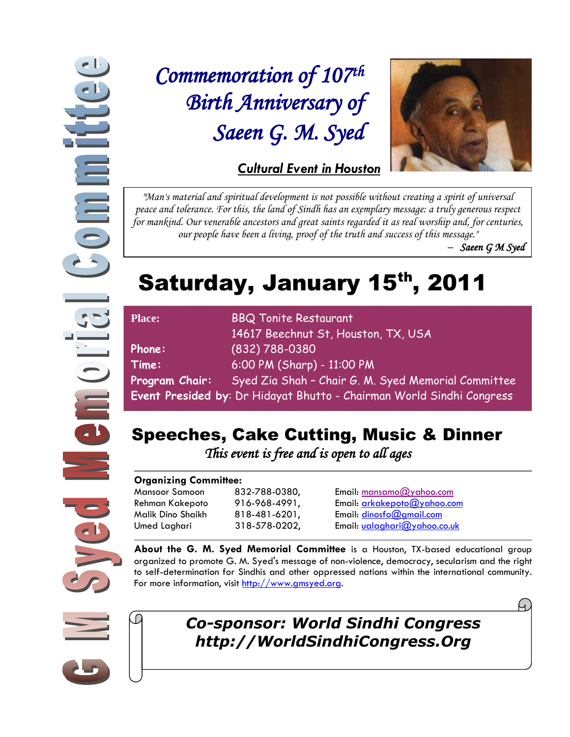**Commi**  $\frac{1}{\sqrt{2}}$ **DIE** Ved

## *Commemoration of 107th Birth Anniversary of Saeen G. M. Syed*



*"Man's material and spiritual development is not possible without creating a spirit of universal peace and tolerance. For this, the land of Sindh has an exemplary message: a truly generous respect for mankind. Our venerable ancestors and great saints regarded it as real worship and, for centuries,* 

*our people have been a living, proof of the truth and success of this message."* 

*– Saeen G M Syed*

# Saturday, January 15<sup>th</sup>, 2011

| <b>Place:</b>                                                         | <b>BBQ Tonite Restaurant</b>                        |
|-----------------------------------------------------------------------|-----------------------------------------------------|
|                                                                       | 14617 Beechnut St, Houston, TX, USA                 |
| Phone:                                                                | (832) 788-0380                                      |
| Time:                                                                 | 6:00 PM (Sharp) - 11:00 PM                          |
| Program Chair:                                                        | Syed Zia Shah - Chair G. M. Syed Memorial Committee |
| Event Presided by: Dr Hidayat Bhutto - Chairman World Sindhi Congress |                                                     |

### Speeches, Cake Cutting, Music & Dinner

 *This event is free and is open to all ages* 

#### **Organizing Committee:**

Mansoor Samoon 832-788-0380, Email: mansamo@yahoo.com Rehman Kakepoto 916-968-4991, Email: [arkakepoto@yahoo.com](mailto:arkakepoto@yahoo.com) Malik Dino Shaikh 818-481-6201, Email: [dinosfo@gmail.com](mailto:dinosfo@gmail.com) Umed Laghari 318-578-0202, Email: [ualaghari@yahoo.co.uk](mailto:ualaghari@yahoo.co.uk)

**About the G. M. Syed Memorial Committee** is a Houston, TX-based educational group organized to promote G. M. Syed's message of non-violence, democracy, secularism and the right to self-determination for Sindhis and other oppressed nations within the international community. For more information, visit [http://www.gmsyed.org.](http://www.gmsyed.org/)



### *Co-sponsor: World Sindhi Congress http://WorldSindhiCongress.Org*